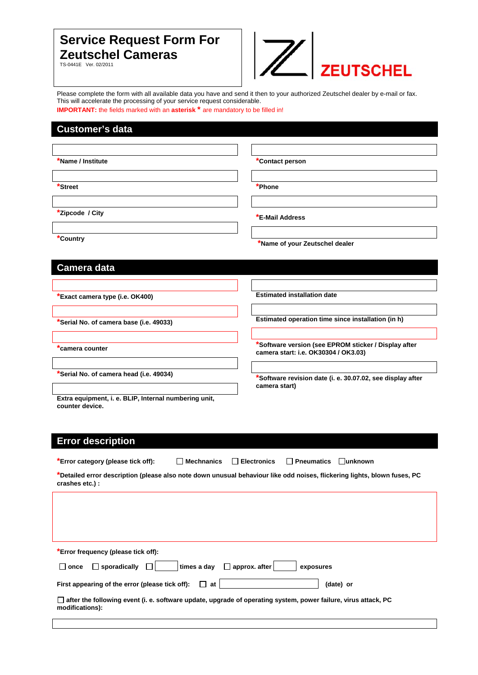## **Service Request Form For Zeutschel Cameras**

TS-0441E Ver. 02/2011



Please complete the form with all available data you have and send it then to your authorized Zeutschel dealer by e-mail or fax. This will accelerate the processing of your service request considerable.

**IMPORTANT:** the fields marked with an **asterisk**<sup>\*</sup> are mandatory to be filled in!

## **Customer's data**

| *Name / Institute                                                                                                                           | *Contact person                                            |  |  |  |
|---------------------------------------------------------------------------------------------------------------------------------------------|------------------------------------------------------------|--|--|--|
|                                                                                                                                             |                                                            |  |  |  |
| *Street                                                                                                                                     | *Phone                                                     |  |  |  |
|                                                                                                                                             |                                                            |  |  |  |
|                                                                                                                                             |                                                            |  |  |  |
| *Zipcode / City                                                                                                                             | *E-Mail Address                                            |  |  |  |
|                                                                                                                                             |                                                            |  |  |  |
| *Country                                                                                                                                    | *Name of your Zeutschel dealer                             |  |  |  |
|                                                                                                                                             |                                                            |  |  |  |
|                                                                                                                                             |                                                            |  |  |  |
| Camera data                                                                                                                                 |                                                            |  |  |  |
|                                                                                                                                             |                                                            |  |  |  |
| Exact camera type (i.e. OK400)*                                                                                                             | <b>Estimated installation date</b>                         |  |  |  |
|                                                                                                                                             |                                                            |  |  |  |
|                                                                                                                                             |                                                            |  |  |  |
| Serial No. of camera base (i.e. 49033)                                                                                                      | Estimated operation time since installation (in h)         |  |  |  |
|                                                                                                                                             |                                                            |  |  |  |
| camera counter                                                                                                                              | *Software version (see EPROM sticker / Display after       |  |  |  |
|                                                                                                                                             | camera start: i.e. OK30304 / OK3.03)                       |  |  |  |
|                                                                                                                                             |                                                            |  |  |  |
| *Serial No. of camera head (i.e. 49034)                                                                                                     | *Software revision date (i. e. 30.07.02, see display after |  |  |  |
|                                                                                                                                             | camera start)                                              |  |  |  |
| Extra equipment, i. e. BLIP, Internal numbering unit,                                                                                       |                                                            |  |  |  |
| counter device.                                                                                                                             |                                                            |  |  |  |
|                                                                                                                                             |                                                            |  |  |  |
|                                                                                                                                             |                                                            |  |  |  |
| <b>Error description</b>                                                                                                                    |                                                            |  |  |  |
|                                                                                                                                             |                                                            |  |  |  |
| *Error category (please tick off):<br>$\Box$ Mechnanics<br>$\Box$                                                                           | <b>Electronics</b><br>$\Box$ Pneumatics<br>$\Box$ unknown  |  |  |  |
| *Detailed error description (please also note down unusual behaviour like odd noises, flickering lights, blown fuses, PC<br>crashes etc.) : |                                                            |  |  |  |
|                                                                                                                                             |                                                            |  |  |  |
|                                                                                                                                             |                                                            |  |  |  |
|                                                                                                                                             |                                                            |  |  |  |

**\*Error frequency (please tick off):** 

| $\Box$ sporadically<br>$\Box$ once | $\Box$ approx. after<br>times a day |  |
|------------------------------------|-------------------------------------|--|
|------------------------------------|-------------------------------------|--|

| First appearing of the error (please tick off): | ⊔ at ∍ | (date) or |
|-------------------------------------------------|--------|-----------|
|                                                 |        |           |

exposures

| $\Box$ after the following event (i. e. software update, upgrade of operating system, power failure, virus attack, PC |  |
|-----------------------------------------------------------------------------------------------------------------------|--|
| modifications):                                                                                                       |  |